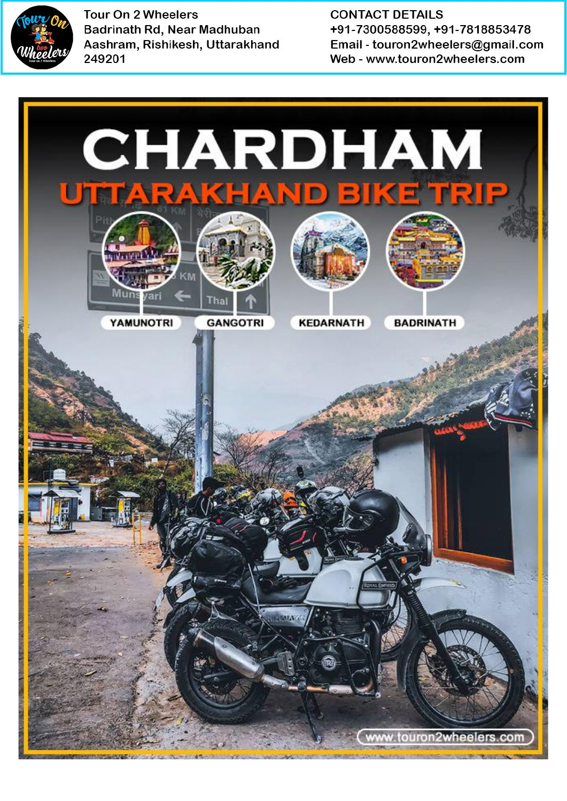

**CONTACT DETAILS** +91-7300588599, +91-7818853478 Email - touron2wheelers@gmail.com Web - www.touron2wheelers.com

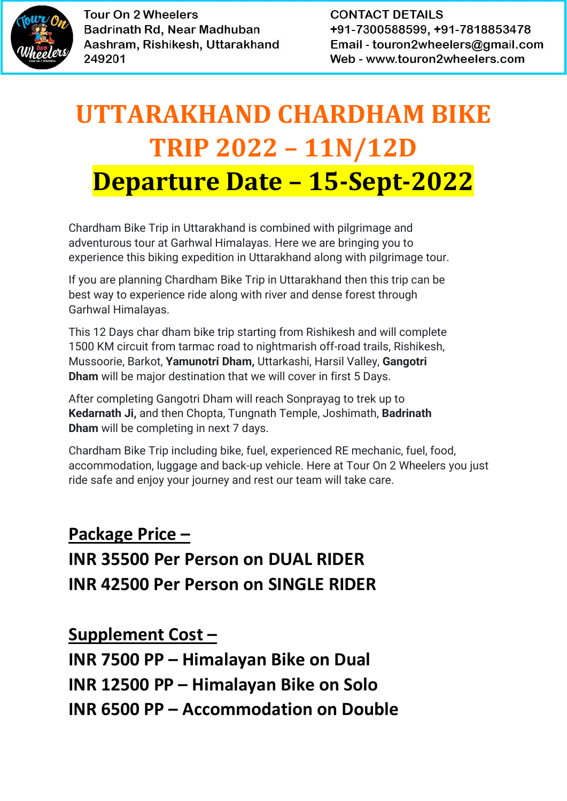

**CONTACT DETAILS** +91-7300588599, +91-7818853478 Email - touron2wheelers@gmail.com Web - www.touron2wheelers.com

# **UTTARAKHAND CHARDHAM BIKE TRIP 2022 – 11N/12D Departure Date – 15-Sept-2022**

Chardham Bike Trip in Uttarakhand is combined with pilgrimage and adventurous tour at Garhwal Himalayas. Here we are bringing you to experience this biking expedition in Uttarakhand along with pilgrimage tour.

If you are planning Chardham Bike Trip in Uttarakhand then this trip can be best way to experience ride along with river and dense forest through Garhwal Himalayas.

This 12 Days char dham bike trip starting from Rishikesh and will complete 1500 KM circuit from tarmac road to nightmarish off-road trails, Rishikesh, Mussoorie, Barkot, **Yamunotri Dham,** Uttarkashi, Harsil Valley, **Gangotri Dham** will be major destination that we will cover in first 5 Days.

After completing Gangotri Dham will reach Sonprayag to trek up to **Kedarnath Ji,** and then Chopta, Tungnath Temple, Joshimath, **Badrinath Dham** will be completing in next 7 days.

Chardham Bike Trip including bike, fuel, experienced RE mechanic, fuel, food, accommodation, luggage and back-up vehicle. Here at Tour On 2 Wheelers you just ride safe and enjoy your journey and rest our team will take care.

## **Package Price – INR 35500 Per Person on DUAL RIDER INR 42500 Per Person on SINGLE RIDER**

**Supplement Cost – INR 7500 PP – Himalayan Bike on Dual INR 12500 PP – Himalayan Bike on Solo INR 6500 PP – Accommodation on Double**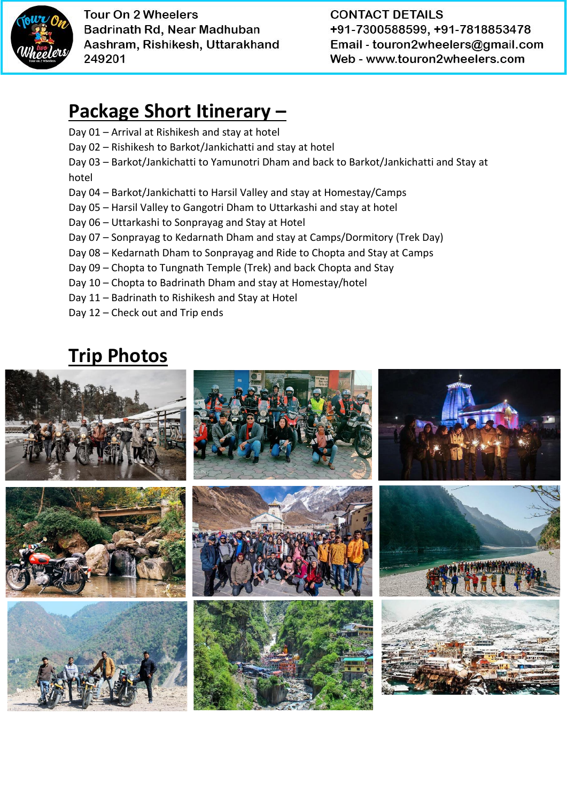

**CONTACT DETAILS** +91-7300588599, +91-7818853478 Email - touron2wheelers@gmail.com Web - www.touron2wheelers.com

### **Package Short Itinerary –**

- Day 01 Arrival at Rishikesh and stay at hotel
- Day 02 Rishikesh to Barkot/Jankichatti and stay at hotel
- Day 03 Barkot/Jankichatti to Yamunotri Dham and back to Barkot/Jankichatti and Stay at hotel
- Day 04 Barkot/Jankichatti to Harsil Valley and stay at Homestay/Camps
- Day 05 Harsil Valley to Gangotri Dham to Uttarkashi and stay at hotel
- Day 06 Uttarkashi to Sonprayag and Stay at Hotel
- Day 07 Sonprayag to Kedarnath Dham and stay at Camps/Dormitory (Trek Day)
- Day 08 Kedarnath Dham to Sonprayag and Ride to Chopta and Stay at Camps
- Day 09 Chopta to Tungnath Temple (Trek) and back Chopta and Stay
- Day 10 Chopta to Badrinath Dham and stay at Homestay/hotel
- Day 11 Badrinath to Rishikesh and Stay at Hotel
- Day 12 Check out and Trip ends

### **Trip Photos**

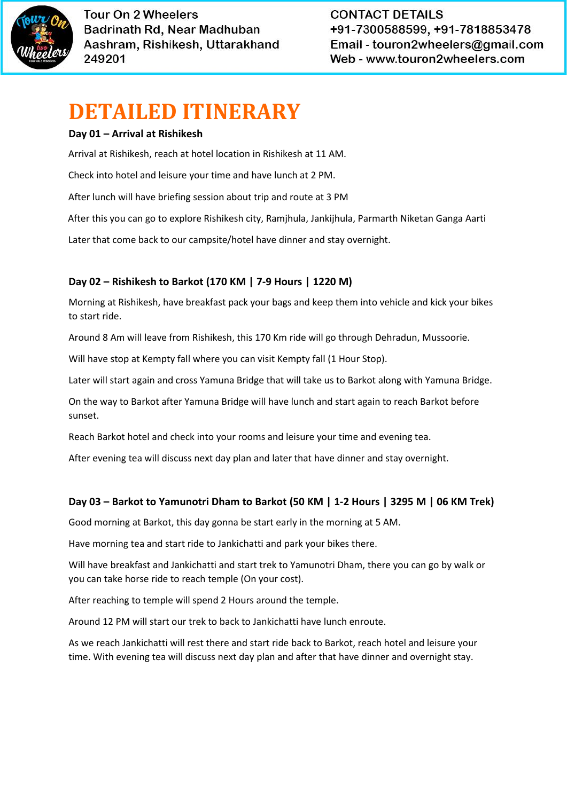

**CONTACT DETAILS** +91-7300588599, +91-7818853478 Email - touron2wheelers@gmail.com Web - www.touron2wheelers.com

# **DETAILED ITINERARY**

#### **Day 01 – Arrival at Rishikesh**

Arrival at Rishikesh, reach at hotel location in Rishikesh at 11 AM.

Check into hotel and leisure your time and have lunch at 2 PM.

After lunch will have briefing session about trip and route at 3 PM

After this you can go to explore Rishikesh city, Ramjhula, Jankijhula, Parmarth Niketan Ganga Aarti

Later that come back to our campsite/hotel have dinner and stay overnight.

#### **Day 02 – Rishikesh to Barkot (170 KM | 7-9 Hours | 1220 M)**

Morning at Rishikesh, have breakfast pack your bags and keep them into vehicle and kick your bikes to start ride.

Around 8 Am will leave from Rishikesh, this 170 Km ride will go through Dehradun, Mussoorie.

Will have stop at Kempty fall where you can visit Kempty fall (1 Hour Stop).

Later will start again and cross Yamuna Bridge that will take us to Barkot along with Yamuna Bridge.

On the way to Barkot after Yamuna Bridge will have lunch and start again to reach Barkot before sunset.

Reach Barkot hotel and check into your rooms and leisure your time and evening tea.

After evening tea will discuss next day plan and later that have dinner and stay overnight.

#### **Day 03 – Barkot to Yamunotri Dham to Barkot (50 KM | 1-2 Hours | 3295 M | 06 KM Trek)**

Good morning at Barkot, this day gonna be start early in the morning at 5 AM.

Have morning tea and start ride to Jankichatti and park your bikes there.

Will have breakfast and Jankichatti and start trek to Yamunotri Dham, there you can go by walk or you can take horse ride to reach temple (On your cost).

After reaching to temple will spend 2 Hours around the temple.

Around 12 PM will start our trek to back to Jankichatti have lunch enroute.

As we reach Jankichatti will rest there and start ride back to Barkot, reach hotel and leisure your time. With evening tea will discuss next day plan and after that have dinner and overnight stay.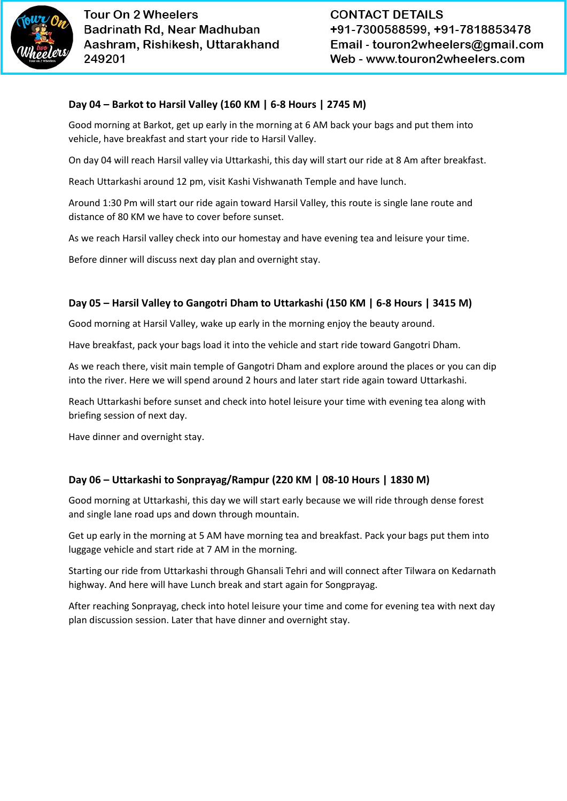

#### **Day 04 – Barkot to Harsil Valley (160 KM | 6-8 Hours | 2745 M)**

Good morning at Barkot, get up early in the morning at 6 AM back your bags and put them into vehicle, have breakfast and start your ride to Harsil Valley.

On day 04 will reach Harsil valley via Uttarkashi, this day will start our ride at 8 Am after breakfast.

Reach Uttarkashi around 12 pm, visit Kashi Vishwanath Temple and have lunch.

Around 1:30 Pm will start our ride again toward Harsil Valley, this route is single lane route and distance of 80 KM we have to cover before sunset.

As we reach Harsil valley check into our homestay and have evening tea and leisure your time.

Before dinner will discuss next day plan and overnight stay.

#### **Day 05 – Harsil Valley to Gangotri Dham to Uttarkashi (150 KM | 6-8 Hours | 3415 M)**

Good morning at Harsil Valley, wake up early in the morning enjoy the beauty around.

Have breakfast, pack your bags load it into the vehicle and start ride toward Gangotri Dham.

As we reach there, visit main temple of Gangotri Dham and explore around the places or you can dip into the river. Here we will spend around 2 hours and later start ride again toward Uttarkashi.

Reach Uttarkashi before sunset and check into hotel leisure your time with evening tea along with briefing session of next day.

Have dinner and overnight stay.

#### **Day 06 – Uttarkashi to Sonprayag/Rampur (220 KM | 08-10 Hours | 1830 M)**

Good morning at Uttarkashi, this day we will start early because we will ride through dense forest and single lane road ups and down through mountain.

Get up early in the morning at 5 AM have morning tea and breakfast. Pack your bags put them into luggage vehicle and start ride at 7 AM in the morning.

Starting our ride from Uttarkashi through Ghansali Tehri and will connect after Tilwara on Kedarnath highway. And here will have Lunch break and start again for Songprayag.

After reaching Sonprayag, check into hotel leisure your time and come for evening tea with next day plan discussion session. Later that have dinner and overnight stay.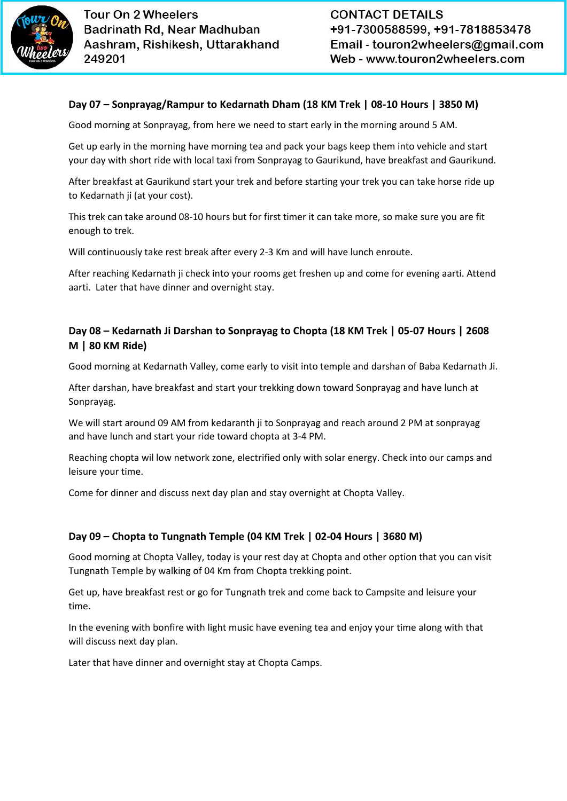

#### **Day 07 – Sonprayag/Rampur to Kedarnath Dham (18 KM Trek | 08-10 Hours | 3850 M)**

Good morning at Sonprayag, from here we need to start early in the morning around 5 AM.

Get up early in the morning have morning tea and pack your bags keep them into vehicle and start your day with short ride with local taxi from Sonprayag to Gaurikund, have breakfast and Gaurikund.

After breakfast at Gaurikund start your trek and before starting your trek you can take horse ride up to Kedarnath ji (at your cost).

This trek can take around 08-10 hours but for first timer it can take more, so make sure you are fit enough to trek.

Will continuously take rest break after every 2-3 Km and will have lunch enroute.

After reaching Kedarnath ji check into your rooms get freshen up and come for evening aarti. Attend aarti. Later that have dinner and overnight stay.

#### **Day 08 – Kedarnath Ji Darshan to Sonprayag to Chopta (18 KM Trek | 05-07 Hours | 2608 M | 80 KM Ride)**

Good morning at Kedarnath Valley, come early to visit into temple and darshan of Baba Kedarnath Ji.

After darshan, have breakfast and start your trekking down toward Sonprayag and have lunch at Sonprayag.

We will start around 09 AM from kedaranth ji to Sonprayag and reach around 2 PM at sonprayag and have lunch and start your ride toward chopta at 3-4 PM.

Reaching chopta wil low network zone, electrified only with solar energy. Check into our camps and leisure your time.

Come for dinner and discuss next day plan and stay overnight at Chopta Valley.

#### **Day 09 – Chopta to Tungnath Temple (04 KM Trek | 02-04 Hours | 3680 M)**

Good morning at Chopta Valley, today is your rest day at Chopta and other option that you can visit Tungnath Temple by walking of 04 Km from Chopta trekking point.

Get up, have breakfast rest or go for Tungnath trek and come back to Campsite and leisure your time.

In the evening with bonfire with light music have evening tea and enjoy your time along with that will discuss next day plan.

Later that have dinner and overnight stay at Chopta Camps.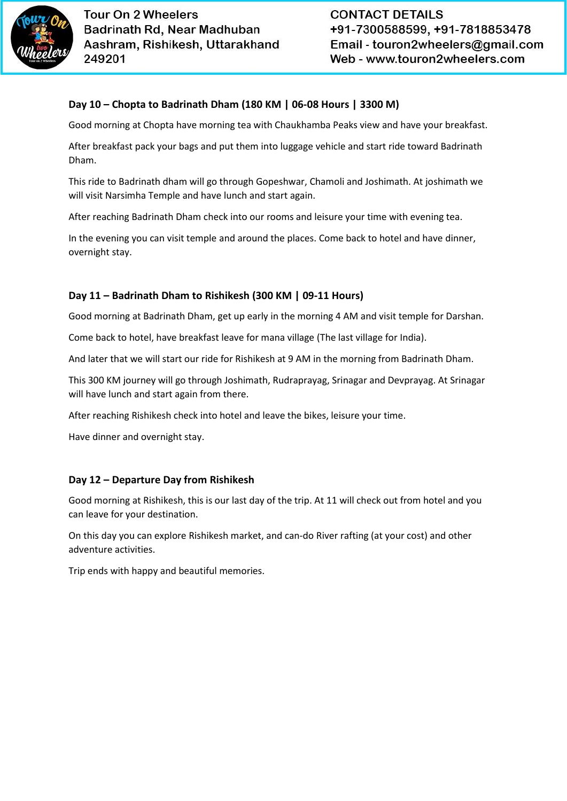

#### **Day 10 – Chopta to Badrinath Dham (180 KM | 06-08 Hours | 3300 M)**

Good morning at Chopta have morning tea with Chaukhamba Peaks view and have your breakfast.

After breakfast pack your bags and put them into luggage vehicle and start ride toward Badrinath Dham.

This ride to Badrinath dham will go through Gopeshwar, Chamoli and Joshimath. At joshimath we will visit Narsimha Temple and have lunch and start again.

After reaching Badrinath Dham check into our rooms and leisure your time with evening tea.

In the evening you can visit temple and around the places. Come back to hotel and have dinner, overnight stay.

#### **Day 11 – Badrinath Dham to Rishikesh (300 KM | 09-11 Hours)**

Good morning at Badrinath Dham, get up early in the morning 4 AM and visit temple for Darshan.

Come back to hotel, have breakfast leave for mana village (The last village for India).

And later that we will start our ride for Rishikesh at 9 AM in the morning from Badrinath Dham.

This 300 KM journey will go through Joshimath, Rudraprayag, Srinagar and Devprayag. At Srinagar will have lunch and start again from there.

After reaching Rishikesh check into hotel and leave the bikes, leisure your time.

Have dinner and overnight stay.

#### **Day 12 – Departure Day from Rishikesh**

Good morning at Rishikesh, this is our last day of the trip. At 11 will check out from hotel and you can leave for your destination.

On this day you can explore Rishikesh market, and can-do River rafting (at your cost) and other adventure activities.

Trip ends with happy and beautiful memories.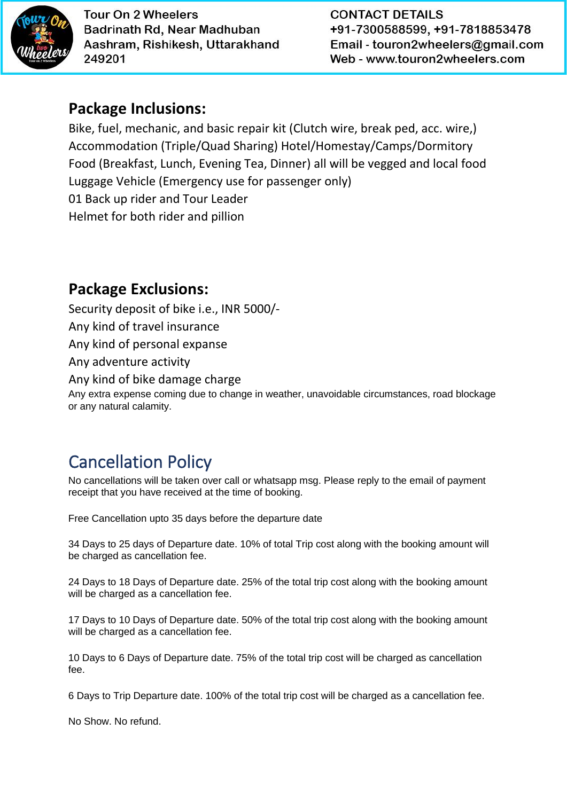

**CONTACT DETAILS** +91-7300588599, +91-7818853478 Email - touron2wheelers@gmail.com Web - www.touron2wheelers.com

### **Package Inclusions:**

Bike, fuel, mechanic, and basic repair kit (Clutch wire, break ped, acc. wire,) Accommodation (Triple/Quad Sharing) Hotel/Homestay/Camps/Dormitory Food (Breakfast, Lunch, Evening Tea, Dinner) all will be vegged and local food Luggage Vehicle (Emergency use for passenger only) 01 Back up rider and Tour Leader Helmet for both rider and pillion

### **Package Exclusions:**

Security deposit of bike i.e., INR 5000/- Any kind of travel insurance Any kind of personal expanse Any adventure activity Any kind of bike damage charge Any extra expense coming due to change in weather, unavoidable circumstances, road blockage or any natural calamity.

### Cancellation Policy

No cancellations will be taken over call or whatsapp msg. Please reply to the email of payment receipt that you have received at the time of booking.

Free Cancellation upto 35 days before the departure date

34 Days to 25 days of Departure date. 10% of total Trip cost along with the booking amount will be charged as cancellation fee.

24 Days to 18 Days of Departure date. 25% of the total trip cost along with the booking amount will be charged as a cancellation fee.

17 Days to 10 Days of Departure date. 50% of the total trip cost along with the booking amount will be charged as a cancellation fee.

10 Days to 6 Days of Departure date. 75% of the total trip cost will be charged as cancellation fee.

6 Days to Trip Departure date. 100% of the total trip cost will be charged as a cancellation fee.

No Show. No refund.